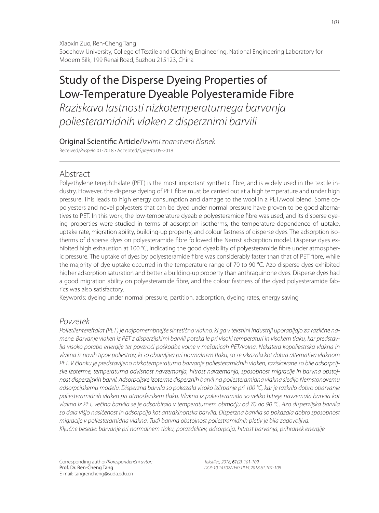Xiaoxin Zuo, Ren-Cheng Tang Soochow University, College of Textile and Clothing Engineering, National Engineering Laboratory for Modern Silk, 199 Renai Road, Suzhou 215123, China

# Study of the Disperse Dyeing Properties of Low-Temperature Dyeable Polyesteramide Fibre

Raziskava lastnosti nizkotemperaturnega barvanja poliesteramidnih vlaken z disperznimi barvili

Original Scientific Article/Izvirni znanstveni članek

Received/Prispelo 01-2018 • Accepted/Sprejeto 05-2018

# Abstract

Polyethylene terephthalate (PET) is the most important synthetic fibre, and is widely used in the textile industry. However, the disperse dyeing of PET fibre must be carried out at a high temperature and under high pressure. This leads to high energy consumption and damage to the wool in a PET/wool blend. Some copolyesters and novel polyesters that can be dyed under normal pressure have proven to be good alternatives to PET. In this work, the low-temperature dyeable polyesteramide fibre was used, and its disperse dyeing properties were studied in terms of adsorption isotherms, the temperature-dependence of uptake, uptake rate, migration ability, building-up property, and colour fastness of disperse dyes. The adsorption isotherms of disperse dyes on polyesteramide fibre followed the Nernst adsorption model. Disperse dyes exhibited high exhaustion at 100 °C, indicating the good dyeability of polyesteramide fibre under atmospheric pressure. The uptake of dyes by polyesteramide fibre was considerably faster than that of PET fibre, while the majority of dye uptake occurred in the temperature range of 70 to 90 °C. Azo disperse dyes exhibited higher adsorption saturation and better a building-up property than anthraquinone dyes. Disperse dyes had a good migration ability on polyesteramide fibre, and the colour fastness of the dyed polyesteramide fabrics was also satisfactory.

Keywords: dyeing under normal pressure, partition, adsorption, dyeing rates, energy saving

# Povzetek

Polietilentereftalat (PET) je najpomembnejše sintetično vlakno, ki ga v tekstilni industriji uporabljajo za različne namene. Barvanje vlaken iz PET z disperzijskimi barvili poteka le pri visoki temperaturi in visokem tlaku, kar predstavlja visoko porabo energije ter povzroči poškodbe volne v mešanicah PET/volna. Nekatera kopoliestrska vlakna in vlakna iz novih tipov poliestrov, ki so obarvljiva pri normalnem tlaku, so se izkazala kot dobra alternativa vlaknom PET. V članku je predstavljeno nizkotemperaturno barvanje poliesteramidnih vlaken, raziskovane so bile adsorpcijske izoterme, temperaturna odvisnost navzemanja, hitrost navzemanja, sposobnost migracije in barvna obstojnost disperzijskih barvil. Adsorpcijske izoterme disperznih barvil na poliesteramidna vlakna sledijo Nernstonovemu adsorpcijskemu modelu. Disperzna barvila so pokazala visoko izčrpanje pri 100 °C, kar je razkrilo dobro obarvanje poliesteramidnih vlaken pri atmosferskem tlaku. Vlakna iz poliesteramida so veliko hitreje navzemala barvila kot vlakna iz PET, večina barvila se je adsorbirala v temperaturnem območju od 70 do 90 °C. Azo disperzijska barvila so dala višjo nasičenost in adsorpcijo kot antrakinonska barvila. Disperzna barvila so pokazala dobro sposobnost migracije v poliesteramidna vlakna. Tudi barvna obstojnost poliestramidnih pletiv je bila zadovoljiva. Ključne besede: barvanje pri normalnem tlaku, porazdelitev, adsorpcija, hitrost barvanja, prihranek energije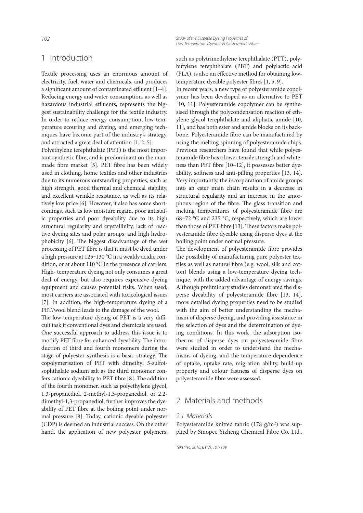## 1 Introduction

Textile processing uses an enormous amount of electricity, fuel, water and chemicals, and produces a significant amount of contaminated effluent  $[1-4]$ . Reducing energy and water consumption, as well as hazardous industrial effluents, represents the biggest sustainability challenge for the textile industry. In order to reduce energy consumption, low-temperature scouring and dyeing, and emerging techniques have become part of the industry's strategy, and attracted a great deal of attention [1, 2, 5].

Polyethylene terephthalate (PET) is the most important synthetic fibre, and is predominant on the manmade fibre market [5]. PET fibre has been widely used in clothing, home textiles and other industries due to its numerous outstanding properties, such as high strength, good thermal and chemical stability, and excellent wrinkle resistance, as well as its relatively low price [6]. However, it also has some shortcomings, such as low moisture regain, poor antistatic properties and poor dyeability due to its high structural regularity and crystallinity, lack of reactive dyeing sites and polar groups, and high hydrophobicity [6]. The biggest disadvantage of the wet processing of PET fibre is that it must be dyed under a high pressure at 125-130 °C in a weakly acidic condition, or at about 110 °C in the presence of carriers. High- temperature dyeing not only consumes a great deal of energy, but also requires expensive dyeing equipment and causes potential risks. When used, most carriers are associated with toxicological issues [7]. In addition, the high-temperature dyeing of a PET/wool blend leads to the damage of the wool.

The low-temperature dyeing of PET is a very difficult task if conventional dyes and chemicals are used. One successful approach to address this issue is to modify PET fibre for enhanced dyeability. The introduction of third and fourth monomers during the stage of polyester synthesis is a basic strategy. The copolymerisation of PET with dimethyl 5-sulfoisophthalate sodium salt as the third monomer confers cationic dyeability to PET fibre [8]. The addition of the fourth monomer, such as polyethylene glycol, 1,3-propanediol, 2-methyl-1,3-propanediol, or 2,2 dimethyl-1,3-propanediol, further improves the dyeability of PET fibre at the boiling point under normal pressure [8]. Today, cationic dyeable polyester (CDP) is deemed an industrial success. On the other hand, the application of new polyester polymers,

such as polytrimethylene terephthalate (PTT), polybutylene terephthalate (PBT) and polylactic acid (PLA), is also an effective method for obtaining lowtemperature dyeable polyester fibres [1, 5, 9].

In recent years, a new type of polyesteramide copolymer has been developed as an alternative to PET [10, 11]. Polyesteramide copolymer can be synthesised through the polycondensation reaction of ethylene glycol terephthalate and aliphatic amide [10, 11], and has both ester and amide blocks on its backbone. Polyesteramide fibre can be manufactured by using the melting spinning of polyesteramide chips. Previous researchers have found that while polyesteramide fibre has a lower tensile strength and whiteness than PET fibre  $[10-12]$ , it possesses better dyeability, softness and anti-pilling properties [13, 14]. Very importantly, the incorporation of amide groups into an ester main chain results in a decrease in structural regularity and an increase in the amorphous region of the fibre. The glass transition and melting temperatures of polyesteramide fibre are 68–72 °C and 235 °C, respectively, which are lower than those of PET fibre [13]. These factors make polyesteramide fibre dyeable using disperse dyes at the boiling point under normal pressure.

The development of polyesteramide fibre provides the possibility of manufacturing pure polyester textiles as well as natural fibre (e.g. wool, silk and cotton) blends using a low-temperature dyeing technique, with the added advantage of energy savings. Although preliminary studies demonstrated the disperse dyeability of polyesteramide fibre [13, 14], more detailed dyeing properties need to be studied with the aim of better understanding the mechanism of disperse dyeing, and providing assistance in the selection of dyes and the determination of dyeing conditions. In this work, the adsorption isotherms of disperse dyes on polyesteramide fibre were studied in order to understand the mechanisms of dyeing, and the temperature-dependence of uptake, uptake rate, migration ability, build-up property and colour fastness of disperse dyes on polyesteramide fibre were assessed.

# 2 Materials and methods

#### 2.1 Materials

Polyesteramide knitted fabric  $(178 \text{ g/m}^2)$  was supplied by Sinopec Yizheng Chemical Fibre Co. Ltd.,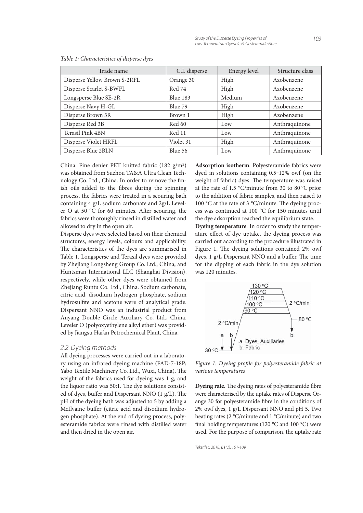| Trade name                   | C.I. disperse | Energy level | Structure class |
|------------------------------|---------------|--------------|-----------------|
| Disperse Yellow Brown S-2RFL | Orange 30     | High         | Azobenzene      |
| Disperse Scarlet S-BWFL      | Red 74        | High         | Azobenzene      |
| Longsperse Blue SE-2R        | Blue 183      | Medium       | Azobenzene      |
| Disperse Navy H-GL           | Blue 79       | High         | Azobenzene      |
| Disperse Brown 3R            | Brown 1       | High         | Azobenzene      |
| Disperse Red 3B              | Red 60        | Low          | Anthraquinone   |
| Terasil Pink 4BN             | Red 11        | Low          | Anthraquinone   |
| Disperse Violet HRFL         | Violet 31     | High         | Anthraquinone   |
| Disperse Blue 2BLN           | Blue 56       | Low          | Anthraquinone   |

Table 1: Characteristics of disperse dyes

China. Fine denier PET knitted fabric (182 g/m2) was obtained from Suzhou TA&A Ultra Clean Technology Co. Ltd., China. In order to remove the finish oils added to the fibres during the spinning process, the fabrics were treated in a scouring bath containing 4 g/L sodium carbonate and 2g/L Leveler O at 50  $^{\circ}$ C for 60 minutes. After scouring, the fabrics were thoroughly rinsed in distilled water and allowed to dry in the open air.

Disperse dyes were selected based on their chemical structures, energy levels, colours and applicability. The characteristics of the dyes are summarised in Table 1. Longsperse and Terasil dyes were provided by Zhejiang Longsheng Group Co. Ltd., China, and Huntsman International LLC (Shanghai Division), respectively, while other dyes were obtained from Zhejiang Runtu Co. Ltd., China. Sodium carbonate, citric acid, disodium hydrogen phosphate, sodium hydrosulfite and acetone were of analytical grade. Dispersant NNO was an industrial product from Anyang Double Circle Auxiliary Co. Ltd., China. Leveler O (polyoxyethylene alkyl ether) was provided by Jiangsu Hai'an Petrochemical Plant, China.

#### 2.2 Dyeing methods

All dyeing processes were carried out in a laboratory using an infrared dyeing machine (FAD-7-18P; Yabo Textile Machinery Co. Ltd., Wuxi, China). The weight of the fabrics used for dyeing was 1 g, and the liquor ratio was 50:1. The dye solutions consisted of dyes, buffer and Dispersant NNO (1 g/L). The pH of the dyeing bath was adjusted to 5 by adding a McIlvaine buffer (citric acid and disodium hydrogen phosphate). At the end of dyeing process, polyesteramide fabrics were rinsed with distilled water and then dried in the open air.

**Adsorption isotherm**. Polyesteramide fabrics were dyed in solutions containing 0.5-12% owf (on the weight of fabric) dyes. The temperature was raised at the rate of 1.5 °C/minute from 30 to 80 °C prior to the addition of fabric samples, and then raised to 100  $\rm{^{\circ}C}$  at the rate of 3  $\rm{^{\circ}C/minute}$ . The dyeing process was continued at 100 °C for 150 minutes until the dye adsorption reached the equilibrium state.

**Dyeing temperature**. In order to study the temperature effect of dye uptake, the dyeing process was carried out according to the procedure illustrated in Figure 1. The dyeing solutions contained 2% owf dyes, 1 g/L Dispersant NNO and a buffer. The time for the dipping of each fabric in the dye solution was 120 minutes.



Figure 1: Dyeing profile for polyesteramide fabric at various temperatures

**Dyeing rate**. The dyeing rates of polyesteramide fibre were characterised by the uptake rates of Disperse Orange 30 for polyesteramide fibre in the conditions of 2% owf dyes, 1 g/L Dispersant NNO and pH 5. Two heating rates (2 °C/minute and 1 °C/minute) and two final holding temperatures (120  $^{\circ}$ C and 100  $^{\circ}$ C) were used. For the purpose of comparison, the uptake rate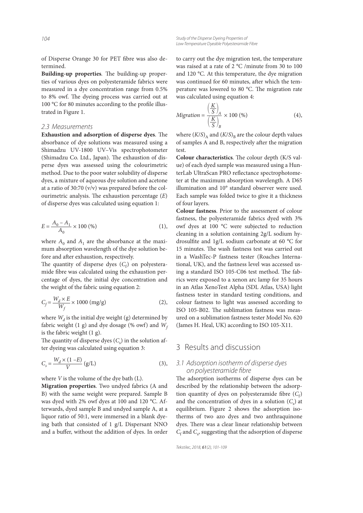of Disperse Orange 30 for PET fibre was also determined.

Building-up properties. The building-up properties of various dyes on polyesteramide fabrics were measured in a dye concentration range from 0.5% to 8% owf. The dyeing process was carried out at 100  $\degree$ C for 80 minutes according to the profile illustrated in Figure 1.

#### 2.3 Measurements

**Exhaustion and adsorption of disperse dyes**. The absorbance of dye solutions was measured using a Shimadzu UV-1800 UV–Vis spectrophotometer (Shimadzu Co. Ltd., Japan). The exhaustion of disperse dyes was assessed using the colourimetric method. Due to the poor water solubility of disperse dyes, a mixture of aqueous dye solution and acetone at a ratio of 30:70 (v/v) was prepared before the colourimetric analysis. The exhaustion percentage  $(E)$ of disperse dyes was calculated using equation 1:

$$
E = \frac{A_0 - A_1}{A_0} \times 100 \, (\%) \tag{1}
$$

where  $A_0$  and  $A_1$  are the absorbance at the maximum absorption wavelength of the dye solution before and after exhaustion, respectively.

The quantity of disperse dyes  $(C_f)$  on polyesteramide fibre was calculated using the exhaustion percentage of dyes, the initial dye concentration and the weight of the fabric using equation 2:

$$
C_f = \frac{W_d \times E}{W_f} \times 1000 \text{ (mg/g)}
$$
 (2),

where  $W_d$  is the initial dye weight (g) determined by fabric weight (1 g) and dye dosage (% owf) and  $W_f$ is the fabric weight (1 g).

The quantity of disperse dyes  $(C<sub>s</sub>)$  in the solution after dyeing was calculated using equation 3:

$$
C_s = \frac{W_d \times (1 - E)}{V} \left( g/L \right) \tag{3},
$$

where  $V$  is the volume of the dye bath  $(L)$ .

**Migration properties**. Two undyed fabrics (A and B) with the same weight were prepared. Sample B was dyed with 2% owf dyes at 100 and 120 °C. Afterwards, dyed sample B and undyed sample A, at a liquor ratio of 50:1, were immersed in a blank dyeing bath that consisted of 1 g/L Dispersant NNO and a buffer, without the addition of dyes. In order to carry out the dye migration test, the temperature was raised at a rate of 2 °C /minute from 30 to 100 and 120 °C. At this temperature, the dye migration was continued for 60 minutes, after which the temperature was lowered to 80 °C. The migration rate was calculated using equation 4:

$$
Migration = \frac{\left(\frac{K}{S}\right)_A}{\left(\frac{K}{S}\right)_B} \times 100 \, (\%) \tag{4}
$$

where  $(K/S)_{A}$  and  $(K/S)_{B}$  are the colour depth values of samples A and B, respectively after the migration test.

**Colour characteristics**. The colour depth (K/S value) of each dyed sample was measured using a HunterLab UltraScan PRO reflectance spectrophotometer at the maximum absorption wavelength. A D65 illumination and 10° standard observer were used. Each sample was folded twice to give it a thickness of four layers.

**Colour fastness**. Prior to the assessment of colour fastness, the polyesteramide fabrics dyed with 3% owf dyes at 100 °C were subjected to reduction cleaning in a solution containing 2g/L sodium hydrosulfite and 1g/L sodium carbonate at 60  $^{\circ}$ C for 15 minutes. The wash fastness test was carried out in a WashTec-P fastness tester (Roaches International, UK), and the fastness level was accessed using a standard ISO 105-C06 test method. The fabrics were exposed to a xenon arc lamp for 35 hours in an Atlas XenoTest Alpha (SDL Atlas, USA) light fastness tester in standard testing conditions, and colour fastness to light was assessed according to ISO 105-B02. The sublimation fastness was measured on a sublimation fastness tester Model No. 620 (James H. Heal, UK) according to ISO 105-X11.

## 3 Results and discussion

## 3.1 Adsorption isotherm of disperse dyes on polyesteramide fibre

The adsorption isotherms of disperse dyes can be described by the relationship between the adsorption quantity of dyes on polyesteramide fibre  $(C_f)$ and the concentration of dyes in a solution  $(C_s)$  at equilibrium. Figure 2 shows the adsorption isotherms of two azo dyes and two anthraquinone dyes. There was a clear linear relationship between  $C_{\rm f}$  and  $C_{\rm s}$  suggesting that the adsorption of disperse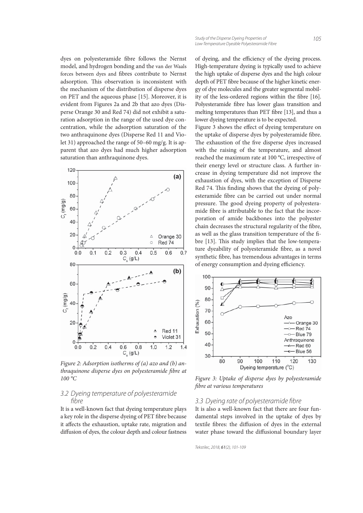dyes on polyesteramide fibre follows the Nernst model, and hydrogen bonding and the van der Waals forces between dyes and fibres contribute to Nernst adsorption. This observation is inconsistent with the mechanism of the distribution of disperse dyes on PET and the aqueous phase [15]. Moreover, it is evident from Figures 2a and 2b that azo dyes (Disperse Orange 30 and Red 74) did not exhibit a saturation adsorption in the range of the used dye concentration, while the adsorption saturation of the two anthraquinone dyes (Disperse Red 11 and Violet 31) approached the range of 50–60 mg/g. It is apparent that azo dyes had much higher adsorption saturation than anthraquinone dyes.



Figure 2: Adsorption isotherms of (a) azo and (b) anthraquinone disperse dyes on polyesteramide fibre at 100 °C

## 3.2 Dyeing temperature of polyesteramide fibre

It is a well-known fact that dyeing temperature plays a key role in the disperse dyeing of PET fibre because it affects the exhaustion, uptake rate, migration and diffusion of dyes, the colour depth and colour fastness of dyeing, and the efficiency of the dyeing process. High-temperature dyeing is typically used to achieve the high uptake of disperse dyes and the high colour depth of PET fibre because of the higher kinetic energy of dye molecules and the greater segmental mobility of the less-ordered regions within the fibre [16]. Polyesteramide fibre has lower glass transition and melting temperatures than PET fibre [13], and thus a lower dyeing temperature is to be expected.

Figure 3 shows the effect of dyeing temperature on the uptake of disperse dyes by polyesteramide fibre. The exhaustion of the five disperse dyes increased with the raising of the temperature, and almost reached the maximum rate at 100 °C, irrespective of their energy level or structure class. A further increase in dyeing temperature did not improve the exhaustion of dyes, with the exception of Disperse Red 74. This finding shows that the dyeing of polyesteramide fibre can be carried out under normal pressure. The good dyeing property of polyesteramide fibre is attributable to the fact that the incorporation of amide backbones into the polyester chain decreases the structural regularity of the fibre, as well as the glass transition temperature of the fibre [13]. This study implies that the low-temperature dyeability of polyesteramide fibre, as a novel synthetic fibre, has tremendous advantages in terms of energy consumption and dyeing efficiency.



Figure 3: Uptake of disperse dyes by polyesteramide fibre at various temperatures

#### 3.3 Dyeing rate of polyesteramide fibre

It is also a well-known fact that there are four fundamental steps involved in the uptake of dyes by textile fibres: the diffusion of dyes in the external water phase toward the diffusional boundary layer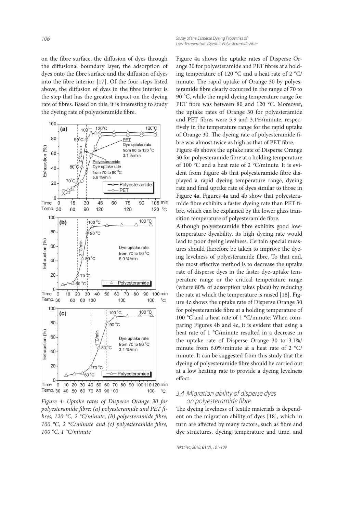on the fibre surface, the diffusion of dyes through the diffusional boundary layer, the adsorption of dyes onto the fibre surface and the diffusion of dyes into the fibre interior  $[17]$ . Of the four steps listed above, the diffusion of dyes in the fibre interior is the step that has the greatest impact on the dyeing rate of fibres. Based on this, it is interesting to study the dyeing rate of polyesteramide fibre.



Figure 4: Uptake rates of Disperse Orange 30 for polyesteramide fibre: (a) polyesteramide and PET fibres, 120 °C, 2 °C/minute, (b) polyesteramide fibre, 100 °C, 2 °C/minute and (c) polyesteramide fibre, 100 °C, 1 °C/minute

Figure 4a shows the uptake rates of Disperse Orange 30 for polyesteramide and PET fibres at a holding temperature of 120 °C and a heat rate of 2 °C/ minute. The rapid uptake of Orange 30 by polyesteramide fibre clearly occurred in the range of 70 to 90 °C, while the rapid dyeing temperature range for PET fibre was between 80 and 120 °C. Moreover, the uptake rates of Orange 30 for polyesteramide and PET fibres were 5.9 and 3.1%/minute, respectively in the temperature range for the rapid uptake of Orange 30. The dyeing rate of polyesteramide fibre was almost twice as high as that of PET fibre. Figure 4b shows the uptake rate of Disperse Orange 30 for polyesteramide fibre at a holding temperature of 100 °C and a heat rate of 2 °C/minute. It is evident from Figure 4b that polyesteramide fibre displayed a rapid dyeing temperature range, dyeing rate and final uptake rate of dyes similar to those in Figure 4a. Figures 4a and 4b show that polyesteramide fibre exhibits a faster dyeing rate than PET fibre, which can be explained by the lower glass transition temperature of polyesteramide fibre.

Although polyesteramide fibre exhibits good lowtemperature dyeability, its high dyeing rate would lead to poor dyeing levelness. Certain special measures should therefore be taken to improve the dyeing levelness of polyesteramide fibre. To that end, the most effective method is to decrease the uptake rate of disperse dyes in the faster dye-uptake temperature range or the critical temperature range (where 80% of adsorption takes place) by reducing the rate at which the temperature is raised [18]. Figure 4c shows the uptake rate of Disperse Orange 30 for polyesteramide fibre at a holding temperature of 100 °C and a heat rate of 1 °C/minute. When comparing Figures 4b and 4c, it is evident that using a heat rate of 1 °C/minute resulted in a decrease in the uptake rate of Disperse Orange 30 to 3.1%/ minute from 6.0%/minute at a heat rate of 2 °C/ minute. It can be suggested from this study that the dyeing of polyesteramide fibre should be carried out at a low heating rate to provide a dyeing levelness effect.

### 3.4 Migration ability of disperse dyes on polyesteramide fibre

The dyeing levelness of textile materials is dependent on the migration ability of dyes [18], which in turn are affected by many factors, such as fibre and dye structures, dyeing temperature and time, and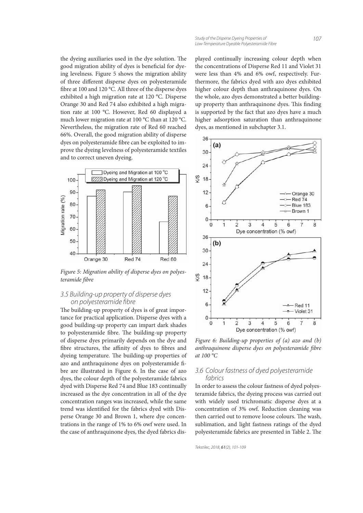the dyeing auxiliaries used in the dye solution. The good migration ability of dyes is beneficial for dyeing levelness. Figure 5 shows the migration ability of three different disperse dyes on polyesteramide fibre at 100 and 120 °C. All three of the disperse dyes exhibited a high migration rate at 120 °C. Disperse Orange 30 and Red 74 also exhibited a high migration rate at 100 °C. However, Red 60 displayed a much lower migration rate at 100 °C than at 120 °C. Nevertheless, the migration rate of Red 60 reached 66%. Overall, the good migration ability of disperse dyes on polyesteramide fibre can be exploited to improve the dyeing levelness of polyesteramide textiles and to correct uneven dyeing.



Figure 5: Migration ability of disperse dyes on polyesteramide fibre

### 3.5 Building-up property of disperse dyes on polyesteramide fibre

The building-up property of dyes is of great importance for practical application. Disperse dyes with a good building-up property can impart dark shades to polyesteramide fibre. The building-up property of disperse dyes primarily depends on the dye and fibre structures, the affinity of dyes to fibres and dyeing temperature. The building-up properties of azo and anthraquinone dyes on polyesteramide fibre are illustrated in Figure 6. In the case of azo dyes, the colour depth of the polyesteramide fabrics dyed with Disperse Red 74 and Blue 183 continually increased as the dye concentration in all of the dye concentration ranges was increased, while the same trend was identified for the fabrics dyed with Disperse Orange 30 and Brown 1, where dye concentrations in the range of 1% to 6% owf were used. In the case of anthraquinone dyes, the dyed fabrics displayed continually increasing colour depth when the concentrations of Disperse Red 11 and Violet 31 were less than 4% and 6% owf, respectively. Furthermore, the fabrics dyed with azo dyes exhibited higher colour depth than anthraquinone dyes. On the whole, azo dyes demonstrated a better buildingup property than anthraquinone dyes. This finding is supported by the fact that azo dyes have a much higher adsorption saturation than anthraquinone dyes, as mentioned in subchapter 3.1.



Figure 6: Building-up properties of (a) azo and (b) anthraquinone disperse dyes on polyesteramide fibre at 100 °C

## 3.6 Colour fastness of dyed polyesteramide fabrics

In order to assess the colour fastness of dyed polyesteramide fabrics, the dyeing process was carried out with widely used trichromatic disperse dyes at a concentration of 3% owf. Reduction cleaning was then carried out to remove loose colours. The wash, sublimation, and light fastness ratings of the dyed polyesteramide fabrics are presented in Table 2. The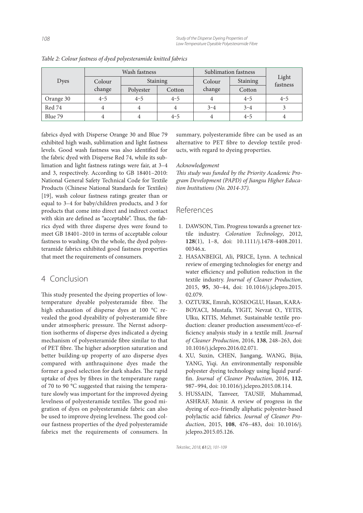|           | Wash fastness |           |         | Sublimation fastness |          |                   |
|-----------|---------------|-----------|---------|----------------------|----------|-------------------|
| Dyes      | Colour        | Staining  |         | Colour               | Staining | Light<br>fastness |
|           | change        | Polyester | Cotton  | change               | Cotton   |                   |
| Orange 30 | $4 - 5$       | $4 - 5$   | $4 - 5$ |                      | $4 - 5$  | $4 - 5$           |
| Red 74    |               | 4         | 4       | $3 - 4$              | $3 - 4$  |                   |
| Blue 79   |               |           | $4 - 5$ |                      | $4 - 5$  |                   |

Table 2: Colour fastness of dyed polyesteramide knitted fabrics

fabrics dyed with Disperse Orange 30 and Blue 79 exhibited high wash, sublimation and light fastness levels. Good wash fastness was also identified for the fabric dyed with Disperse Red 74, while its sublimation and light fastness ratings were fair, at 3–4 and 3, respectively. According to GB 18401–2010: National General Safety Technical Code for Textile Products (Chinese National Standards for Textiles) [19], wash colour fastness ratings greater than or equal to 3–4 for baby/children products, and 3 for products that come into direct and indirect contact with skin are defined as "acceptable". Thus, the fabrics dyed with three disperse dyes were found to meet GB 18401–2010 in terms of acceptable colour fastness to washing. On the whole, the dyed polyesteramide fabrics exhibited good fastness properties that meet the requirements of consumers.

## 4 Conclusion

This study presented the dyeing properties of lowtemperature dyeable polyesteramide fibre. The high exhaustion of disperse dyes at 100 °C revealed the good dyeability of polyesteramide fibre under atmospheric pressure. The Nernst adsorption isotherms of disperse dyes indicated a dyeing mechanism of polyesteramide fibre similar to that of PET fibre. The higher adsorption saturation and better building-up property of azo disperse dyes compared with anthraquinone dyes made the former a good selection for dark shades. The rapid uptake of dyes by fibres in the temperature range of 70 to 90 °C suggested that raising the temperature slowly was important for the improved dyeing levelness of polyesteramide textiles. The good migration of dyes on polyesteramide fabric can also be used to improve dyeing levelness. The good colour fastness properties of the dyed polyesteramide fabrics met the requirements of consumers. In summary, polyesteramide fibre can be used as an alternative to PET fibre to develop textile products, with regard to dyeing properties.

### Acknowledgement

This study was funded by the Priority Academic Program Development (PAPD) of Jiangsu Higher Education Institutions (No. 2014-37).

## References

- 1. DAWSON, Tim. Progress towards a greener textile industry. Coloration Technology, 2012, **128**(1), 1–8, doi: 10.1111/j.1478-4408.2011. 00346 x
- 2. HASANBEIGI, Ali, PRICE, Lynn. A technical review of emerging technologies for energy and water efficiency and pollution reduction in the textile industry. Journal of Cleaner Production, 2015, **95**, 30–44, doi: 10.1016/j.jclepro.2015. 02.079.
- 3. OZTURK, Emrah, KOSEOGLU, Hasan, KARA-BOYACI, Mustafa, YIGIT, Nevzat O., YETIS, Ulku, KITIS, Mehmet. Sustainable textile production: cleaner production assessment/eco-efficiency analysis study in a textile mill. Journal of Cleaner Production, 2016, **138**, 248–263, doi: 10.1016/j.jclepro.2016.02.071.
- 4. XU, Suxin, CHEN, Jiangang, WANG, Bijia, YANG, Yiqi. An environmentally responsible polyester dyeing technology using liquid paraffin. Journal of Cleaner Production, 2016, 112, 987–994, doi: 10.1016/j.jclepro.2015.08.114.
- 5. HUSSAIN, Tanveer, TAUSIF, Muhammad, ASHRAF, Munir. A review of progress in the dyeing of eco-friendly aliphatic polyester-based polylactic acid fabrics. Journal of Cleaner Production, 2015, **108**, 476–483, doi: 10.1016/j. jclepro.2015.05.126.